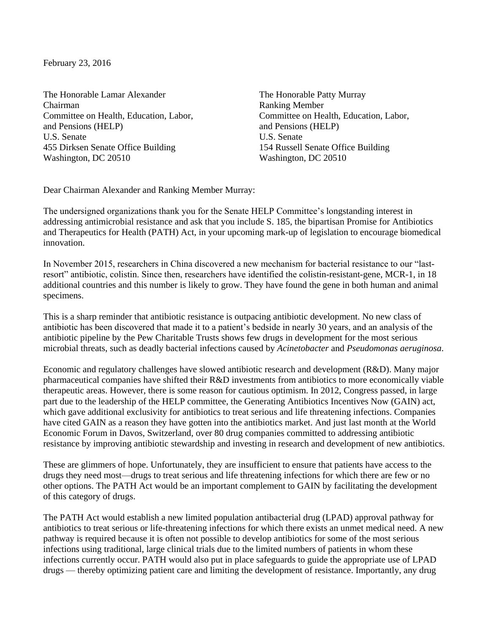February 23, 2016

The Honorable Lamar Alexander Chairman Committee on Health, Education, Labor, and Pensions (HELP) U.S. Senate 455 Dirksen Senate Office Building Washington, DC 20510

The Honorable Patty Murray Ranking Member Committee on Health, Education, Labor, and Pensions (HELP) U.S. Senate 154 Russell Senate Office Building Washington, DC 20510

Dear Chairman Alexander and Ranking Member Murray:

The undersigned organizations thank you for the Senate HELP Committee's longstanding interest in addressing antimicrobial resistance and ask that you include S. 185, the bipartisan Promise for Antibiotics and Therapeutics for Health (PATH) Act, in your upcoming mark-up of legislation to encourage biomedical innovation.

In November 2015, researchers in China discovered a new mechanism for bacterial resistance to our "lastresort" antibiotic, colistin. Since then, researchers have identified the colistin-resistant-gene, MCR-1, in 18 additional countries and this number is likely to grow. They have found the gene in both human and animal specimens.

This is a sharp reminder that antibiotic resistance is outpacing antibiotic development. No new class of antibiotic has been discovered that made it to a patient's bedside in nearly 30 years, and an analysis of the antibiotic pipeline by the Pew Charitable Trusts shows few drugs in development for the most serious microbial threats, such as deadly bacterial infections caused by *Acinetobacter* and *Pseudomonas aeruginosa*.

Economic and regulatory challenges have slowed antibiotic research and development (R&D). Many major pharmaceutical companies have shifted their R&D investments from antibiotics to more economically viable therapeutic areas. However, there is some reason for cautious optimism. In 2012, Congress passed, in large part due to the leadership of the HELP committee, the Generating Antibiotics Incentives Now (GAIN) act, which gave additional exclusivity for antibiotics to treat serious and life threatening infections. Companies have cited GAIN as a reason they have gotten into the antibiotics market. And just last month at the World Economic Forum in Davos, Switzerland, over 80 drug companies committed to addressing antibiotic resistance by improving antibiotic stewardship and investing in research and development of new antibiotics.

These are glimmers of hope. Unfortunately, they are insufficient to ensure that patients have access to the drugs they need most—drugs to treat serious and life threatening infections for which there are few or no other options. The PATH Act would be an important complement to GAIN by facilitating the development of this category of drugs.

The PATH Act would establish a new limited population antibacterial drug (LPAD) approval pathway for antibiotics to treat serious or life-threatening infections for which there exists an unmet medical need. A new pathway is required because it is often not possible to develop antibiotics for some of the most serious infections using traditional, large clinical trials due to the limited numbers of patients in whom these infections currently occur. PATH would also put in place safeguards to guide the appropriate use of LPAD drugs — thereby optimizing patient care and limiting the development of resistance. Importantly, any drug